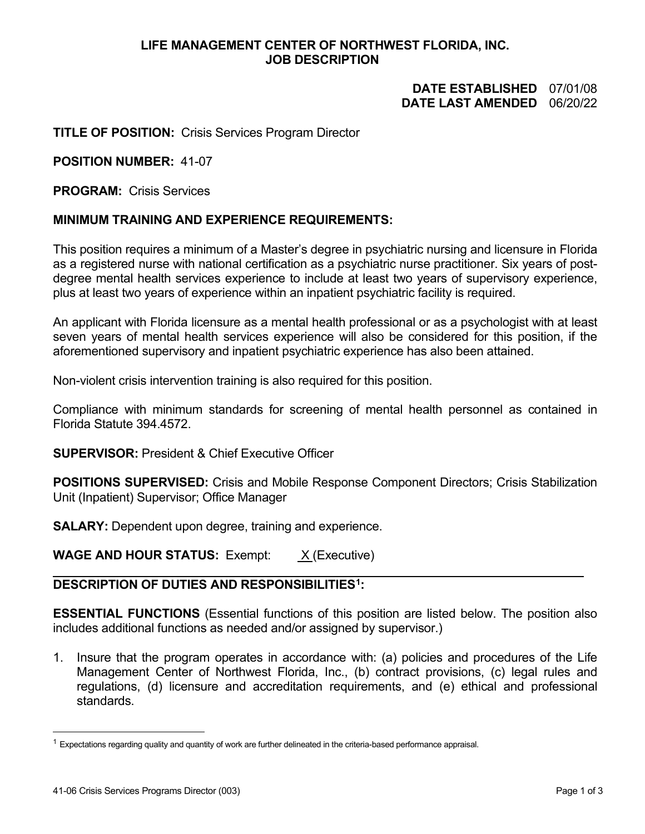## **LIFE MANAGEMENT CENTER OF NORTHWEST FLORIDA, INC. JOB DESCRIPTION**

# **DATE ESTABLISHED** 07/01/08 **DATE LAST AMENDED**

## **TITLE OF POSITION:** Crisis Services Program Director

#### **POSITION NUMBER:** 41-07

**PROGRAM:** Crisis Services

### **MINIMUM TRAINING AND EXPERIENCE REQUIREMENTS:**

This position requires a minimum of a Master's degree in psychiatric nursing and licensure in Florida as a registered nurse with national certification as a psychiatric nurse practitioner. Six years of postdegree mental health services experience to include at least two years of supervisory experience, plus at least two years of experience within an inpatient psychiatric facility is required.

An applicant with Florida licensure as a mental health professional or as a psychologist with at least seven years of mental health services experience will also be considered for this position, if the aforementioned supervisory and inpatient psychiatric experience has also been attained.

Non-violent crisis intervention training is also required for this position.

Compliance with minimum standards for screening of mental health personnel as contained in Florida Statute 394.4572.

**SUPERVISOR:** President & Chief Executive Officer

**POSITIONS SUPERVISED:** Crisis and Mobile Response Component Directors; Crisis Stabilization Unit (Inpatient) Supervisor; Office Manager

**SALARY:** Dependent upon degree, training and experience.

**WAGE AND HOUR STATUS:** Exempt: <u>X</u> (Executive)

### **DESCRIPTION OF DUTIES AND RESPONSIBILITIES[1](#page-0-0):**

**ESSENTIAL FUNCTIONS** (Essential functions of this position are listed below. The position also includes additional functions as needed and/or assigned by supervisor.)

1. Insure that the program operates in accordance with: (a) policies and procedures of the Life Management Center of Northwest Florida, Inc., (b) contract provisions, (c) legal rules and regulations, (d) licensure and accreditation requirements, and (e) ethical and professional standards.

<span id="page-0-0"></span> $1$  Expectations regarding quality and quantity of work are further delineated in the criteria-based performance appraisal.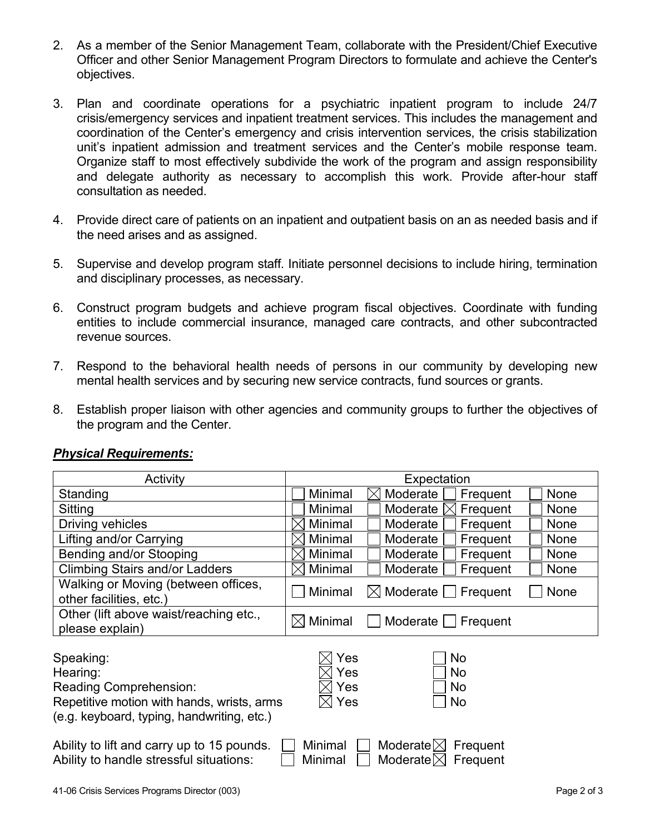- 2. As a member of the Senior Management Team, collaborate with the President/Chief Executive Officer and other Senior Management Program Directors to formulate and achieve the Center's objectives.
- 3. Plan and coordinate operations for a psychiatric inpatient program to include 24/7 crisis/emergency services and inpatient treatment services. This includes the management and coordination of the Center's emergency and crisis intervention services, the crisis stabilization unit's inpatient admission and treatment services and the Center's mobile response team. Organize staff to most effectively subdivide the work of the program and assign responsibility and delegate authority as necessary to accomplish this work. Provide after-hour staff consultation as needed.
- 4. Provide direct care of patients on an inpatient and outpatient basis on an as needed basis and if the need arises and as assigned.
- 5. Supervise and develop program staff. Initiate personnel decisions to include hiring, termination and disciplinary processes, as necessary.
- 6. Construct program budgets and achieve program fiscal objectives. Coordinate with funding entities to include commercial insurance, managed care contracts, and other subcontracted revenue sources.
- 7. Respond to the behavioral health needs of persons in our community by developing new mental health services and by securing new service contracts, fund sources or grants.
- 8. Establish proper liaison with other agencies and community groups to further the objectives of the program and the Center.

| Activity                                                                                                                                                                                     | Expectation                                                                 |  |  |  |  |
|----------------------------------------------------------------------------------------------------------------------------------------------------------------------------------------------|-----------------------------------------------------------------------------|--|--|--|--|
| Standing                                                                                                                                                                                     | Minimal<br>None<br>Moderate<br>Frequent                                     |  |  |  |  |
| Sitting                                                                                                                                                                                      | Moderate<br>Minimal<br>Frequent<br><b>None</b>                              |  |  |  |  |
| Driving vehicles                                                                                                                                                                             | Minimal<br>Moderate<br>Frequent<br><b>None</b>                              |  |  |  |  |
| Lifting and/or Carrying                                                                                                                                                                      | Minimal<br>Frequent<br>Moderate<br>None                                     |  |  |  |  |
| Bending and/or Stooping                                                                                                                                                                      | Moderate<br>Frequent<br>Minimal<br><b>None</b>                              |  |  |  |  |
| <b>Climbing Stairs and/or Ladders</b>                                                                                                                                                        | Minimal<br>Moderate<br>Frequent<br><b>None</b>                              |  |  |  |  |
| Walking or Moving (between offices,<br>other facilities, etc.)                                                                                                                               | Minimal<br>None<br>$\boxtimes$ Moderate $\textcolor{orange}\sqcup$ Frequent |  |  |  |  |
| Other (lift above waist/reaching etc.,<br>please explain)                                                                                                                                    | Minimal<br>Moderate $\Box$<br>Frequent<br>IXI                               |  |  |  |  |
| Speaking:<br>Hearing:<br><b>Reading Comprehension:</b><br>Repetitive motion with hands, wrists, arms<br>(e.g. keyboard, typing, handwriting, etc.)                                           | Yes<br>No<br>Yes<br>No<br>Yes<br>No<br>Yes<br>No                            |  |  |  |  |
| Moderate $\boxtimes$<br>Minimal<br>Ability to lift and carry up to 15 pounds.<br>Frequent<br>Ability to handle stressful situations:<br>Moderate $ \!\!\!\times\!\! $<br>Minimal<br>Frequent |                                                                             |  |  |  |  |

# *Physical Requirements:*